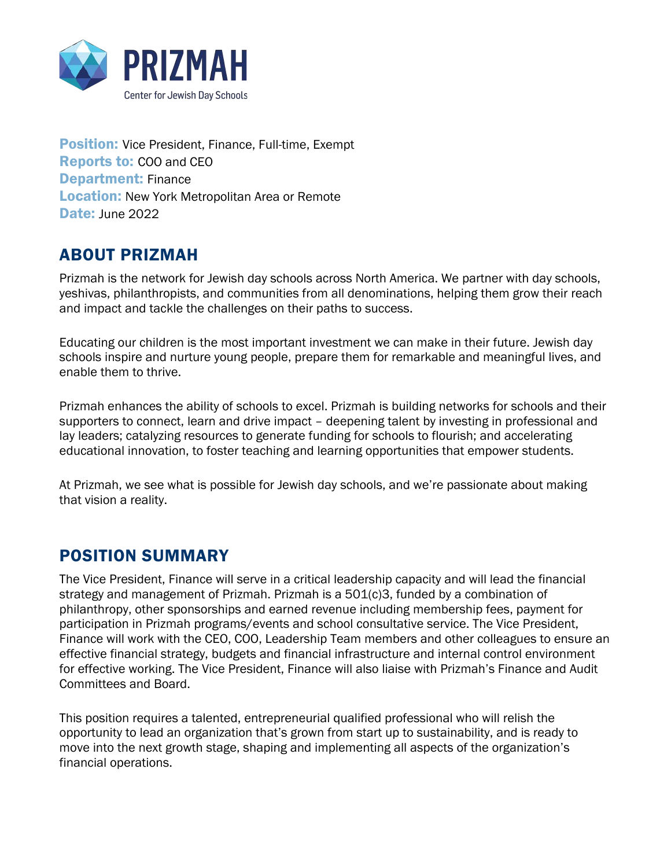

**Position:** Vice President, Finance, Full-time, Exempt Reports to: COO and CEO Department: Finance **Location:** New York Metropolitan Area or Remote Date: June 2022

#### ABOUT PRIZMAH

Prizmah is the network for Jewish day schools across North America. We partner with day schools, yeshivas, philanthropists, and communities from all denominations, helping them grow their reach and impact and tackle the challenges on their paths to success.

Educating our children is the most important investment we can make in their future. Jewish day schools inspire and nurture young people, prepare them for remarkable and meaningful lives, and enable them to thrive.

Prizmah enhances the ability of schools to excel. Prizmah is building networks for schools and their supporters to connect, learn and drive impact – deepening talent by investing in professional and lay leaders; catalyzing resources to generate funding for schools to flourish; and accelerating educational innovation, to foster teaching and learning opportunities that empower students.

At Prizmah, we see what is possible for Jewish day schools, and we're passionate about making that vision a reality.

#### POSITION SUMMARY

The Vice President, Finance will serve in a critical leadership capacity and will lead the financial strategy and management of Prizmah. Prizmah is a  $501(c)3$ , funded by a combination of philanthropy, other sponsorships and earned revenue including membership fees, payment for participation in Prizmah programs/events and school consultative service. The Vice President, Finance will work with the CEO, COO, Leadership Team members and other colleagues to ensure an effective financial strategy, budgets and financial infrastructure and internal control environment for effective working. The Vice President, Finance will also liaise with Prizmah's Finance and Audit Committees and Board.

This position requires a talented, entrepreneurial qualified professional who will relish the opportunity to lead an organization that's grown from start up to sustainability, and is ready to move into the next growth stage, shaping and implementing all aspects of the organization's financial operations.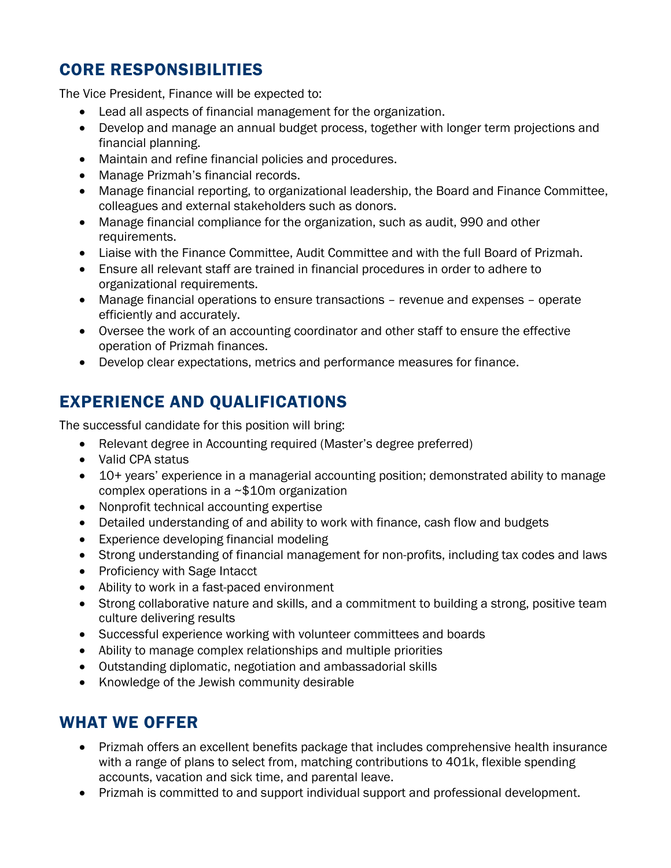# CORE RESPONSIBILITIES

The Vice President, Finance will be expected to:

- Lead all aspects of financial management for the organization.
- Develop and manage an annual budget process, together with longer term projections and financial planning.
- Maintain and refine financial policies and procedures.
- Manage Prizmah's financial records.
- Manage financial reporting, to organizational leadership, the Board and Finance Committee, colleagues and external stakeholders such as donors.
- Manage financial compliance for the organization, such as audit, 990 and other requirements.
- Liaise with the Finance Committee, Audit Committee and with the full Board of Prizmah.
- Ensure all relevant staff are trained in financial procedures in order to adhere to organizational requirements.
- Manage financial operations to ensure transactions revenue and expenses operate efficiently and accurately.
- Oversee the work of an accounting coordinator and other staff to ensure the effective operation of Prizmah finances.
- Develop clear expectations, metrics and performance measures for finance.

# EXPERIENCE AND QUALIFICATIONS

The successful candidate for this position will bring:

- Relevant degree in Accounting required (Master's degree preferred)
- Valid CPA status
- 10+ years' experience in a managerial accounting position; demonstrated ability to manage complex operations in a ~\$10m organization
- Nonprofit technical accounting expertise
- Detailed understanding of and ability to work with finance, cash flow and budgets
- Experience developing financial modeling
- Strong understanding of financial management for non-profits, including tax codes and laws
- Proficiency with Sage Intacct
- Ability to work in a fast-paced environment
- Strong collaborative nature and skills, and a commitment to building a strong, positive team culture delivering results
- Successful experience working with volunteer committees and boards
- Ability to manage complex relationships and multiple priorities
- Outstanding diplomatic, negotiation and ambassadorial skills
- Knowledge of the Jewish community desirable

### WHAT WE OFFER

- Prizmah offers an excellent benefits package that includes comprehensive health insurance with a range of plans to select from, matching contributions to 401k, flexible spending accounts, vacation and sick time, and parental leave.
- Prizmah is committed to and support individual support and professional development.